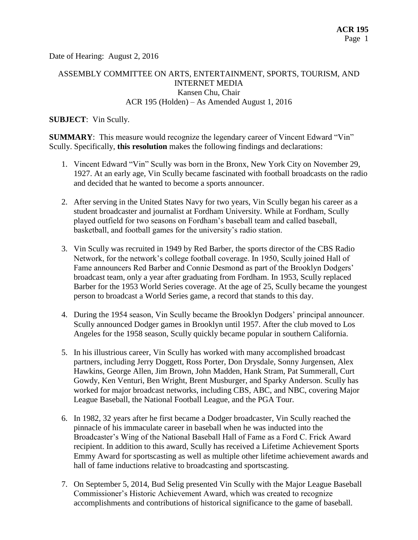Date of Hearing: August 2, 2016

#### ASSEMBLY COMMITTEE ON ARTS, ENTERTAINMENT, SPORTS, TOURISM, AND INTERNET MEDIA Kansen Chu, Chair ACR 195 (Holden) – As Amended August 1, 2016

#### **SUBJECT**: Vin Scully.

**SUMMARY**: This measure would recognize the legendary career of Vincent Edward "Vin" Scully. Specifically, **this resolution** makes the following findings and declarations:

- 1. Vincent Edward "Vin" Scully was born in the Bronx, New York City on November 29, 1927. At an early age, Vin Scully became fascinated with football broadcasts on the radio and decided that he wanted to become a sports announcer.
- 2. After serving in the United States Navy for two years, Vin Scully began his career as a student broadcaster and journalist at Fordham University. While at Fordham, Scully played outfield for two seasons on Fordham's baseball team and called baseball, basketball, and football games for the university's radio station.
- 3. Vin Scully was recruited in 1949 by Red Barber, the sports director of the CBS Radio Network, for the network's college football coverage. In 1950, Scully joined Hall of Fame announcers Red Barber and Connie Desmond as part of the Brooklyn Dodgers' broadcast team, only a year after graduating from Fordham. In 1953, Scully replaced Barber for the 1953 World Series coverage. At the age of 25, Scully became the youngest person to broadcast a World Series game, a record that stands to this day.
- 4. During the 1954 season, Vin Scully became the Brooklyn Dodgers' principal announcer. Scully announced Dodger games in Brooklyn until 1957. After the club moved to Los Angeles for the 1958 season, Scully quickly became popular in southern California.
- 5. In his illustrious career, Vin Scully has worked with many accomplished broadcast partners, including Jerry Doggett, Ross Porter, Don Drysdale, Sonny Jurgensen, Alex Hawkins, George Allen, Jim Brown, John Madden, Hank Stram, Pat Summerall, Curt Gowdy, Ken Venturi, Ben Wright, Brent Musburger, and Sparky Anderson. Scully has worked for major broadcast networks, including CBS, ABC, and NBC, covering Major League Baseball, the National Football League, and the PGA Tour.
- 6. In 1982, 32 years after he first became a Dodger broadcaster, Vin Scully reached the pinnacle of his immaculate career in baseball when he was inducted into the Broadcaster's Wing of the National Baseball Hall of Fame as a Ford C. Frick Award recipient. In addition to this award, Scully has received a Lifetime Achievement Sports Emmy Award for sportscasting as well as multiple other lifetime achievement awards and hall of fame inductions relative to broadcasting and sportscasting.
- 7. On September 5, 2014, Bud Selig presented Vin Scully with the Major League Baseball Commissioner's Historic Achievement Award, which was created to recognize accomplishments and contributions of historical significance to the game of baseball.